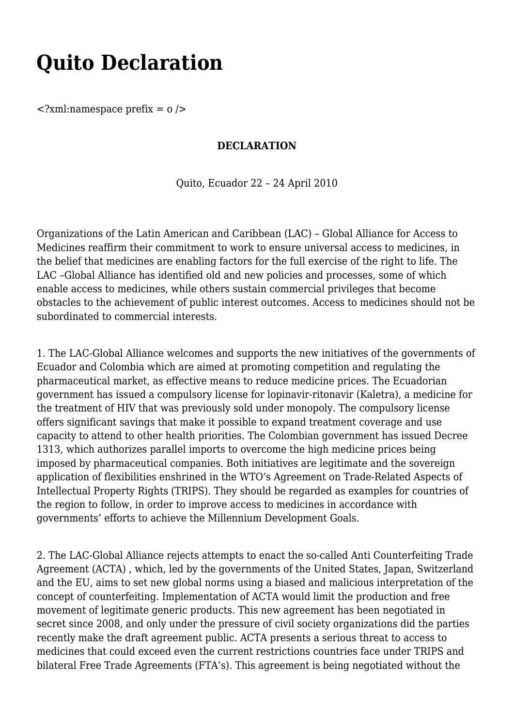## **Quito Declaration**

 $\langle$ ?xml:namespace prefix = 0  $\rangle$ 

## **DECLARATION**

Quito, Ecuador 22 – 24 April 2010

Organizations of the Latin American and Caribbean (LAC) – Global Alliance for Access to Medicines reaffirm their commitment to work to ensure universal access to medicines, in the belief that medicines are enabling factors for the full exercise of the right to life. The LAC –Global Alliance has identified old and new policies and processes, some of which enable access to medicines, while others sustain commercial privileges that become obstacles to the achievement of public interest outcomes. Access to medicines should not be subordinated to commercial interests.

1. The LAC-Global Alliance welcomes and supports the new initiatives of the governments of Ecuador and Colombia which are aimed at promoting competition and regulating the pharmaceutical market, as effective means to reduce medicine prices. The Ecuadorian government has issued a compulsory license for lopinavir-ritonavir (Kaletra), a medicine for the treatment of HIV that was previously sold under monopoly. The compulsory license offers significant savings that make it possible to expand treatment coverage and use capacity to attend to other health priorities. The Colombian government has issued Decree 1313, which authorizes parallel imports to overcome the high medicine prices being imposed by pharmaceutical companies. Both initiatives are legitimate and the sovereign application of flexibilities enshrined in the WTO's Agreement on Trade-Related Aspects of Intellectual Property Rights (TRIPS). They should be regarded as examples for countries of the region to follow, in order to improve access to medicines in accordance with governments' efforts to achieve the Millennium Development Goals.

2. The LAC-Global Alliance rejects attempts to enact the so-called Anti Counterfeiting Trade Agreement (ACTA) , which, led by the governments of the United States, Japan, Switzerland and the EU, aims to set new global norms using a biased and malicious interpretation of the concept of counterfeiting. Implementation of ACTA would limit the production and free movement of legitimate generic products. This new agreement has been negotiated in secret since 2008, and only under the pressure of civil society organizations did the parties recently make the draft agreement public. ACTA presents a serious threat to access to medicines that could exceed even the current restrictions countries face under TRIPS and bilateral Free Trade Agreements (FTA's). This agreement is being negotiated without the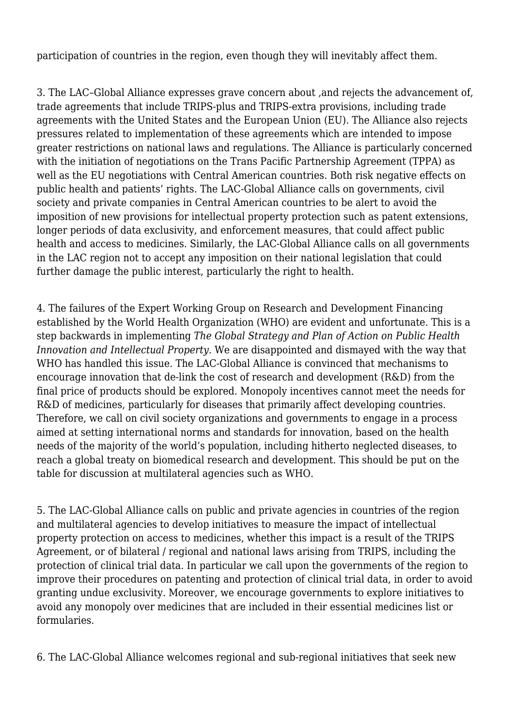participation of countries in the region, even though they will inevitably affect them.

3. The LAC–Global Alliance expresses grave concern about ,and rejects the advancement of, trade agreements that include TRIPS-plus and TRIPS-extra provisions, including trade agreements with the United States and the European Union (EU). The Alliance also rejects pressures related to implementation of these agreements which are intended to impose greater restrictions on national laws and regulations. The Alliance is particularly concerned with the initiation of negotiations on the Trans Pacific Partnership Agreement (TPPA) as well as the EU negotiations with Central American countries. Both risk negative effects on public health and patients' rights. The LAC-Global Alliance calls on governments, civil society and private companies in Central American countries to be alert to avoid the imposition of new provisions for intellectual property protection such as patent extensions, longer periods of data exclusivity, and enforcement measures, that could affect public health and access to medicines. Similarly, the LAC-Global Alliance calls on all governments in the LAC region not to accept any imposition on their national legislation that could further damage the public interest, particularly the right to health.

4. The failures of the Expert Working Group on Research and Development Financing established by the World Health Organization (WHO) are evident and unfortunate. This is a step backwards in implementing *The Global Strategy and Plan of Action on Public Health Innovation and Intellectual Property*. We are disappointed and dismayed with the way that WHO has handled this issue. The LAC-Global Alliance is convinced that mechanisms to encourage innovation that de-link the cost of research and development (R&D) from the final price of products should be explored. Monopoly incentives cannot meet the needs for R&D of medicines, particularly for diseases that primarily affect developing countries. Therefore, we call on civil society organizations and governments to engage in a process aimed at setting international norms and standards for innovation, based on the health needs of the majority of the world's population, including hitherto neglected diseases, to reach a global treaty on biomedical research and development. This should be put on the table for discussion at multilateral agencies such as WHO.

5. The LAC-Global Alliance calls on public and private agencies in countries of the region and multilateral agencies to develop initiatives to measure the impact of intellectual property protection on access to medicines, whether this impact is a result of the TRIPS Agreement, or of bilateral / regional and national laws arising from TRIPS, including the protection of clinical trial data. In particular we call upon the governments of the region to improve their procedures on patenting and protection of clinical trial data, in order to avoid granting undue exclusivity. Moreover, we encourage governments to explore initiatives to avoid any monopoly over medicines that are included in their essential medicines list or formularies.

6. The LAC-Global Alliance welcomes regional and sub-regional initiatives that seek new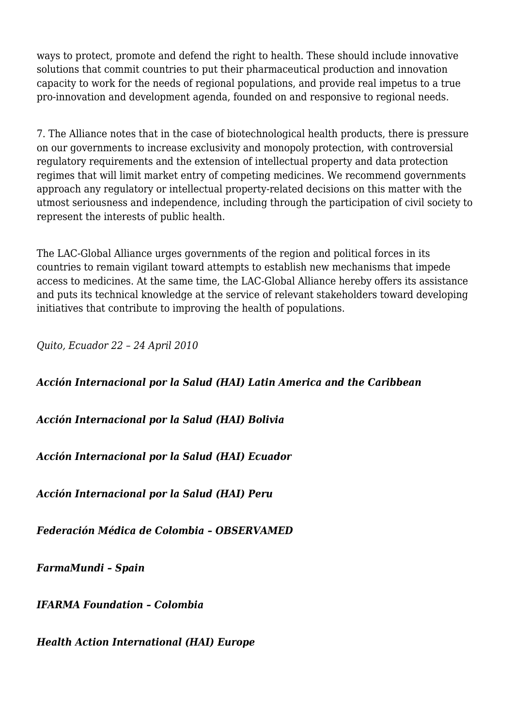ways to protect, promote and defend the right to health. These should include innovative solutions that commit countries to put their pharmaceutical production and innovation capacity to work for the needs of regional populations, and provide real impetus to a true pro-innovation and development agenda, founded on and responsive to regional needs.

7. The Alliance notes that in the case of biotechnological health products, there is pressure on our governments to increase exclusivity and monopoly protection, with controversial regulatory requirements and the extension of intellectual property and data protection regimes that will limit market entry of competing medicines. We recommend governments approach any regulatory or intellectual property-related decisions on this matter with the utmost seriousness and independence, including through the participation of civil society to represent the interests of public health.

The LAC-Global Alliance urges governments of the region and political forces in its countries to remain vigilant toward attempts to establish new mechanisms that impede access to medicines. At the same time, the LAC-Global Alliance hereby offers its assistance and puts its technical knowledge at the service of relevant stakeholders toward developing initiatives that contribute to improving the health of populations.

*Quito, Ecuador 22 – 24 April 2010*

## *Acción Internacional por la Salud (HAI) Latin America and the Caribbean*

## *Acción Internacional por la Salud (HAI) Bolivia*

*Acción Internacional por la Salud (HAI) Ecuador*

*Acción Internacional por la Salud (HAI) Peru*

*Federación Médica de Colombia – OBSERVAMED*

*FarmaMundi – Spain*

*IFARMA Foundation – Colombia*

*Health Action International (HAI) Europe*